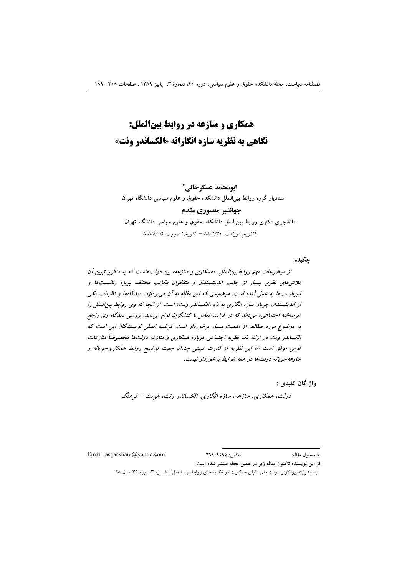# همکاری و منازعه در روابط بینالملل: نگاهي به نظريه سازه انگارانه «الكساندر ونت»

ابومحمد عسكرخاني\* استادیار گروه روابط بینالملل دانشکده حقوق و علوم سیاسی دانشگاه تهران جهانشير منصوري مقدم دانشجوی دکتری روابط بین|لملل دانشکده حقوق و علوم سیاسی دانشگاه تهران (تاريخ دريافت: ٨٨/٢/٢٠ - تاريخ تصويب: ٨٨/٤/١٥)

جكيده:

از موضوعات مهم روابط بین الملل، «همکاری و منازعه» بین دولت هاست که به منظور تبیین آن تلاش های نظری بسیار از جانب اندیشمندان و متفکران مکاتب مختلف بویژه رئالیستها و لیبرالیستها به عمل آمده است. موضوعی که این مقاله به آن می پردازد، دیدگاهها و نظریات یکی از اندیشمندان جریان سازه انگاری به نام «الکساندر ونت» است. از آنجا که وی روابط بین الملل را «برساخته اجتماعی» میداند که در فرایند تعامل با کنشگران قوام می یابد، بررسی دیدگاه وی راجع به موضوع مورد مطالعه از اهمیت بسیار برخوردار است. فرضیه اصلی نویسندگان این است که الکساندر ونت در ارائه یک نظریه اجتماعی درباره همکاری و منازعه دولتها مخصوصاً منازعات قومی موفق است اما این نظریه از قدرت تبیینی جندان جهت توضیح روابط همکاریجویانه و منازعهجویانه دولتها در همه شرایط برخوردار نیست.

واژ گان کليدي :

دولت، همکاری، منازعه، سازه انگاری، الکساندر ونت، هویت – فرهنگ

Email: asgarkhani@yahoo.com

 $772.9090$  فاكس \* مسئول مقاله:

از این نویسنده تاکنون مقاله زیر در همین مجله منتشر شده است:

<sup>&</sup>quot;پسامدرنیته وواکاوی دولت ملی دارای حاکمیت در نظریه های روابط بین الملل"، شماره ۳، دوره ۳۹، سال ۸۸.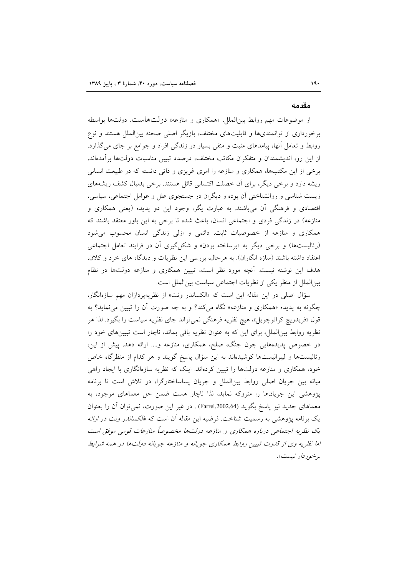#### مقدمه

از موضوعات مهم روابط بین|لملل، «همکاری و منازعه» دولتهاست. دولتها بواسطه برخورداری از توانمندیها و قابلیتهای مختلف، بازیگر اصلی صحنه بینالملل هستند و نوع روابط و تعامل آنها، پیامدهای مثبت و منفی بسیار در زندگی افراد و جوامع بر جای میگذارد. از این رو، اندیشمندان و متفکران مکاتب مختلف، درصدد تبیین مناسبات دولتها برآمدهاند. برخی از این مکتبها، همکاری و منازعه را امری غریزی و ذاتی دانسته که در طبیعت انسانی ریشه دارد و برخی دیگر، برای آن خصلت اکتسابی قائل هستند. برخی بدنبال کشف ریشههای زیست شناسی و روانشناختی آن بوده و دیگران در جستجوی علل و عوامل اجتماعی، سیاسی، اقتصادی و فرهنگی آن میباشند. به عبارت یگر، وجود این دو پدیده (یعنی همکاری و منازعه) در زندگی فردی و اجتماعی انسان، باعث شده تا برخی به این باور معتقد باشند که همکاری و منازعه از خصوصیات ثابت، دائمی و ازلی زندگی انسان محسوب می شود (رئالیستها) و برخی دیگر به «برساخته بودن» و شکل گیری آن در فرایند تعامل اجتماعی اعتقاد داشته باشند (سازه انگاران). به هرحال، بررسی این نظریات و دیدگاه های خرد و کلان، هدف این نوشته نیست. آنچه مورد نظر است، تبیین همکاری و منازعه دولتها در نظام بین الملل از منظر یکی از نظریات اجتماعی سیاست بین الملل است.

سؤال اصلی در این مقاله این است که «الکساندر ونت» از نظریهپردازان مهم سازهانگار، چگونه به پدیده «همکاری و منازعه» نگاه میکند؟ و به چه صورت آن را تبیین می نماید؟ به قول «فريدريچ كراتوچويل»، هيچ نظريه فرهنگي نمي تواند جاي نظريه سياست را بگيرد. لذا هر نظریه روابط بینالملل، برای این که به عنوان نظریه باقی بماند، ناچار است تبیینهای خود را در خصوص پدیدههایی چون جنگ، صلح، همکاری، منازعه و.... ارائه دهد. پیش از این، رئالیستها و لیبرالیستها کوشیدهاند به این سؤال پاسخ گویند و هر کدام از منظرگاه خاص خود، همکاری و منازعه دولتها را تبیین کردهاند. اینک که نظریه سازهانگاری با ایجاد راهی میانه بین جریان اصلی روابط بین|لملل و جریان پساساختارگرا، در تلاش است تا برنامه پژوهشی این جریانها را متروکه نماید، لذا ناچار هست ضمن حل معماهای موجود، به معماهای جدید نیز پاسخ بگوید (Farrel,2002,64) . در غیر این صورت، نمیتوان آن را بعنوان یک برنامه پژوهشی به رسمیت شناخت. فرضیه این مقاله آن است که «*الکساندر ونت در ارائه* یک نظریه اجتماعی درباره همکاری و منازعه دولتها مخصوصاً منازعات قومی موفق است اما نظریه وی از قدرت تبیین روابط همکاری جویانه و منازعه جویانه دولتها در همه شرایط برخ*و ردار نيست*».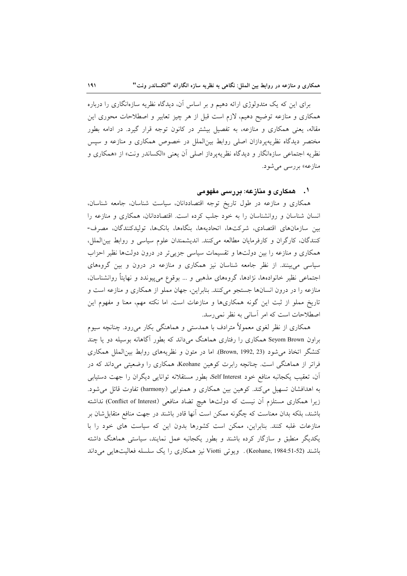برای این که یک متدولوژی ارائه دهیم و بر اساس آن، دیدگاه نظریه سازهانگاری را درباره همکاری و منازعه توضیح دهیم، لازم است قبل از هر چیز تعابیر و اصطلاحات محوری این مقاله، یعنی همکاری و منازعه، به تفصیل بیشتر در کانون توجه قرار گیرد. در ادامه بطور مختصر دیدگاه نظریهپردازان اصلی روابط بینالملل در خصوص همکاری و منازعه و سپس نظریه اجتماعی سازهانگار و دیدگاه نظریهپرداز اصلی آن یعنی «الکساندر ونت» از «همکاری و منازعه» بررسی میشود.

# ۰۱ - همکاری و منازعه: بررسی مفهومی

همکاری و منازعه در طول تاریخ توجه اقتصاددانان، سیاست شناسان، جامعه شناسان، انسان شناسان و روانشناسان را به خود جلب کرده است. اقتصاددانان، همکاری و منازعه را بین سازمانهای اقتصادی، شرکتها، اتحادیهها، بنگاهها، بانکها، تولیدکنندگان، مصرف-كنندگان، كارگران و كارفرمايان مطالعه مى كنند. انديشمندان علوم سياسى و روابط بين الملل، همکاری و منازعه را بین دولتها و تقسیمات سیاسی جزییتر در درون دولتها نظیر احزاب سیاسی می بینند. از نظر جامعه شناسان نیز همکاری و منازعه در درون و بین گروههای اجتماعی نظیر خانوادهها، نژادها، گروههای مذهبی و … بوقوع میپیوندد و نهایتاً روانشناسان، منازعه را در درون انسانها جستجو می کنند. بنابراین، جهان مملو از همکاری و منازعه است و تاریخ مملو از ثبت این گونه همکاریها و منازعات است. اما نکته مهم، معنا و مفهوم این اصطلاحات است كه امر أساني به نظر نمي رسد.

همکاری از نظر لغوی معمولاً مترادف با همدستی و هماهنگی بکار میرود. چنانچه سیوم براون Seyom Brown همکاری را رفتاری هماهنگ میداند که بطور آگاهانه بوسیله دو یا چند كنشگر اتخاذ مي شود (Brown, 1992, 23). اما در متون و نظريههاي روابط بين الملل همكاري فراتر از هماهنگی است. چنانچه رابرت کوهین Keohane، همکاری را وضعیتی میداند که در اّن، تعقیب یکجانبه منافع خود Self Interest، بطور مستقلانه توانایی دیگران را جهت دستیابی به اهدافشان تسهیل میکند. کوهین بین همکاری و همنوایی (harmony) تفاوت قائل می شود. زیرا همکاری مستلزم آن نیست که دولتها هیچ تضاد منافعی (Conflict of Interest) نداشته باشند، بلکه بدان معناست که چگونه ممکن است آنها قادر باشند در جهت منافع متقابل شان بر منازعات غلبه کنند. بنابراین، ممکن است کشورها بدون این که سیاست های خود را با یکدیگر منطبق و سازگار کرده باشند و بطور یکجانبه عمل نمایند، سیاستی هماهنگ داشته باشند (Keohane, 1984:51-52). ويوتي Viotti نيز همكاري را يك سلسله فعاليتهايي ميداند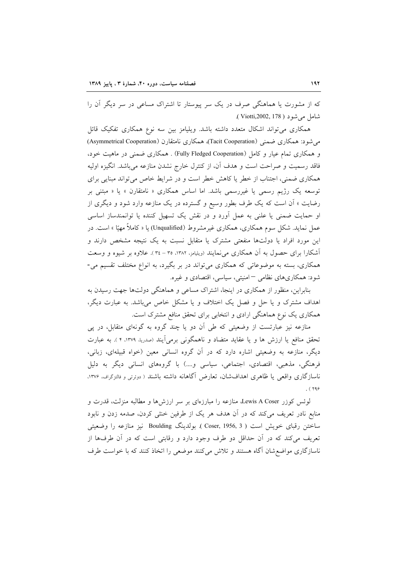که از مشورت یا هماهنگی صرف در یک سر پیوستار تا اشتراک مساعی در سر دیگر آن را شامل مے شود ( Viotti,2002, 178 ).

همکاری میتواند اشکال متعدد داشته باشد. ویلیامز بین سه نوع همکاری تفکیک قائل می شود: همکاری ضمنی (Tacit Cooperation) همکاری نامتقارن (Asymmetrical Cooperation) و همکاری تمام عیار و کامل (Fully Fledged Cooperation) . همکاری ضمنی در ماهیت خود، فاقد رسمیت و صراحت است و هدف آن، از کنترل خارج نشدن منازعه میباشد. انگیزه اولیه همکاری ضمنی، اجتناب از خطر یا کاهش خطر است و در شرایط خاص می تواند مبنایی برای توسعه یک رژیم رسمی یا غیررسمی باشد. اما اساس همکاری « نامتقارن » یا « مبتنی بر رضایت » آن است که یک طرف بطور وسیع و گسترده در یک منازعه وارد شود و دیگری از او حمایت ضمنی یا علنی به عمل آورد و در نقش یک تسهیل کننده یا توانمندساز اساسی عمل نماید. شکل سوم همکاری، همکاری غیرمشروط (Unqualified) یا « کاملاً مهیّا » است. در این مورد افراد یا دولتها منفعتی مشترک یا متقابل نسبت به یک نتیجه مشخص دارند و آشکارا برای حصول به آن همکاری می نمایند (ویلیامز، ۱۳۸۲، ۳۵ – ۳٤). علاوه بر شیوه و وسعت همکاری، بسته به موضوعاتی که همکاری میتواند در بر بگیرد، به انواع مختلف تقسیم می-شود: همکاریهای نظامی – امنیتی، سیاسی، اقتصادی و غیره.

بنابراین، منظور از همکاری در اینجا، اشتراک مساعی و هماهنگی دولتها جهت رسیدن به اهداف مشترک و یا حل و فصل یک اختلاف و یا مشکل خاص میباشد. به عبارت دیگر، همکاری یک نوع هماهنگی ارادی و انتخابی برای تحقق منافع مشترک است.

منازعه نیز عبارتست از وضعیتی که طی آن دو یا چند گروه به گونهای متقابل، در پی تحقق منافع یا ارزش ها و یا عقاید متضاد و ناهمگونی برمیآیند (صدریا، ۱۳۷۹، ۴ ). به عبارت دیگر، منازعه به وضعیتی اشاره دارد که در آن گروه انسانی معین (خواه قبیلهای، زبانی، فرهنگی، مذهبی، اقتصادی، اجتماعی، سیاسی و....) با گروههای انسانی دیگر به دلیل ناسازگاری واقعی یا ظاهری اهدافشان، تعارض آگاهانه داشته باشند ( دوئرتی و فالتزگراف، ۱۳۷۶.  $.$  (  $199$ 

لوئس كوزر Lewis A Coser، منازعه را مبارزهاي بر سر ارزشها و مطالبه منزلت، قدرت و منابع نادر تعریف میکند که در آن هدف هر یک از طرفین خنثی کردن، صدمه زدن و نابود ساختن رقباي خويش است ( Coser, 1956, 3 ). بولدينگ Boulding نيز منازعه را وضعيتي تعریف می کند که در آن حداقل دو طرف وجود دارد و رقابتی است که در آن طرفها از ناسازگاری مواضع شان آگاه هستند و تلاش میکنند موضعی را اتخاذ کنند که با خواست طرف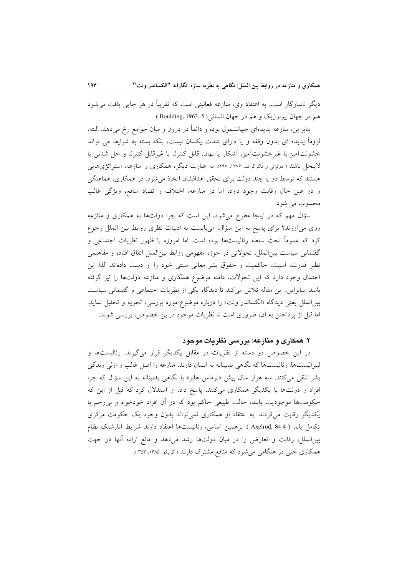دیگر ناسازگار است. به اعتقاد وی، منازعه فعالیتی است که تقریباً در هر جایبی یافت می شود هم در جهان بيولوژيک و هم در جهان انساني ( Boulding, 1963, 5 ).

بنابراین، منازعه پدیدمای جهانشمول بوده و دائماً در درون و میان جوامع رخ میدهد. البته، لزوماً یدیده ای بدون وقفه و یا دارای شدت یکسان نیست، بلکه بسته به شرایط می تواند خشونتآمیز یا غیرخشونتآمیز، آشکار یا نهان، قابل کنترل یا غیرقابل کنترل و حل شدنی یا لاینحل باشد ( دوئرتی و فالتزگراف، ۱۳۷۶، ۱۳۷۷. به عبارت دیگر، همکاری و منازعه، استراتژیهایی هستند که توسط دو یا چند دولت برای تحقق اهدافشان اتخاذ می شود. در همکاری، هماهنگی و در عين حال رقابت وجود دارد، اما در منازعه، اختلاف و تضاد منافع، ويژگي غالب محسوب می شود.

سؤال مهم که در اینجا مطرح میشود، این است که چرا دولتها به همکاری و منازعه روی می آورند؟ برای پاسخ به این سؤال، می بایست به ادبیات نظری روابط بین الملل رجوع کرد که عموماً تحت سلطه رئالیستها بوده است. اما امروزه با ظهور نظریات اجتماعی و گفتمانی سیاست بین الملل، تحولاتی در حوزه مفهومی روابط بین الملل اتفاق افتاده و مفاهیمی نظیر قدرت، امنیت، حاکمیت و حقوق بشر معانی سنتی خود را از دست دادهاند. لذا این احتمال وجود دارد که این تحولات، دامنه موضوع همکاری و منازعه دولتها را نیز گرفته باشد. بنابراین، این مقاله تلاش میکند تا دیدگاه یکی از نظریات اجتماعی و گفتمانی سیاست بینالملل یعنی دیدگاه «الکساندر ونت» را درباره موضوع مورد بررسی، تجزیه و تحلیل نماید. اما قبل از پرداختن به آن، ضروری است تا نظریات موجود دراین خصوص، بررسی شوند.

# ۲. همکاری و منازعه: بررسی نظریات موجود

در این خصوص دو دسته از نظریات در مقابل یکدیگر قرار میگیرند: رئالیستها و لیبرالیستها. رئالیستها که نگاهی بدبینانه به انسان دارند، منازعه را اصل غالب و ازلی زندگی بشر تلقی میکنند. سه هزار سال پیش «توماس هابز» با نگاهی بدبینانه به این سؤال که چرا افراد و دولتها با یکدیگر همکاری میکنند، پاسخ داد. او استدلال کرد که قبل از این که حکومتها موجودیت یابند، حالت طبیعی حاکم بود که در آن افراد خودخواه و بی رحم با یکدیگر رقابت میکردند. به اعتقاد او همکاری نمی تواند بدون وجود یک حکومت مرکزی تكامل يابد ( Axelrod, 84:4 ). برهمين اساس، رئاليستها اعتقاد دارند شرايط آنارشيك نظام بین الملل، رقابت و تعارض را در میان دولتها رشد می دهد و مانع اراده آنها در جهت همکاری حتی در هنگامی میشود که منافع مشترک دارند (گریکو، ۱۳۸۵، ۳۵۳).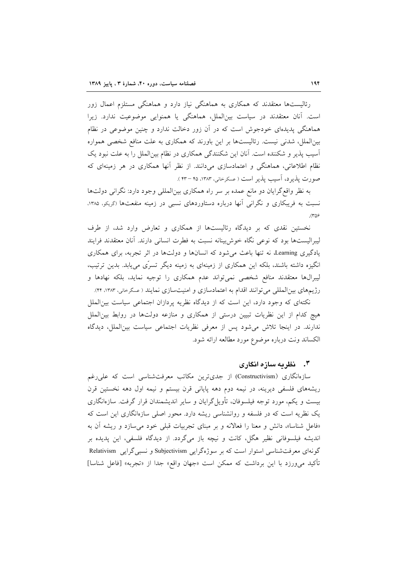رئالیستها معتقدند که همکاری به هماهنگی نیاز دارد و هماهنگی مستلزم اعمال زور است. آنان معتقدند در سیاست بینالملل، هماهنگی یا همنوایی موضوعیت ندارد. زیرا هماهنگی پدیدهای خودجوش است که در آن زور دخالت ندارد و چنین موضوعی در نظام بینالملل، شدنی نیست. رئالیستها بر این باورند که همکاری به علت منافع شخصی همواره آسیب پذیر و شکننده است. آنان این شکنندگی همکاری در نظام بین|لملل را به علت نبود یک نظام اطلاعاتی، هماهنگی و اعتمادسازی میدانند. از نظر آنها همکاری در هر زمینهای که صورت پذیرد، آسیب پذیر است ( عسکرخانی، ۱۳۸۳، ۴۵ – ۴۳ ).

به نظر واقع گرایان دو مانع عمده بر سر راه همکاری بینالمللی وجود دارد: نگرانی دولتها نسبت به فریبکاری و نگرانی آنها درباره دستاوردهای نسبی در زمینه منفعتها (گریکو، ۱۳۸۵،  $\Gamma$ 

نخستین نقدی که بر دیدگاه رئالیستها از همکاری و تعارض وارد شد، از طرف لیبرالیستها بود که نوعی نگاه خوش بینانه نسبت به فطرت انسانی دارند. آنان معتقدند فرایند یادگیری Learning، نه تنها باعث می شود که انسانها و دولتها در اثر تجربه، برای همکاری انگیزه داشته باشند، بلکه این همکاری از زمینهای به زمینه دیگر تسرّی مییابد. بدین ترتیب، لیبرالها معتقدند منافع شخصی نمیتواند عدم همکاری را توجیه نماید، بلکه نهادها و رژیمهای بینالمللی می توانند اقدام به اعتمادسازی و امنیتسازی نمایند ( عسگرخانی، ۱۳۸۳، ۴۴).

نکتهای که وجود دارد، این است که از دیدگاه نظریه پردازان اجتماعی سیاست بین الملل هیچ کدام از این نظریات تبیین درستی از همکاری و منازعه دولتها در روابط بین|لملل ندارند. در اینجا تلاش میشود پس از معرفی نظریات اجتماعی سیاست بین الملل، دیدگاه الکساند ونت درباره موضوع مورد مطالعه ارائه شود.

## ۳. - نظریه سازه انگاری

سازهانگاری (Constructivism) از جدیترین مکاتب معرفتشناسی است که علی رغم ریشههای فلسفی دیرینه، در نیمه دوم دهه پایانی قرن بیستم و نیمه اول دهه نخستین قرن بیست و یکم، مورد توجه فیلسوفان، تأویل گرایان و سایر اندیشمندان قرار گرفت. سازهانگاری یک نظریه است که در فلسفه و روانشناسی ریشه دارد. محور اصلی سازهانگاری این است که «فاعل شناسا»، دانش و معنا را فعالانه و بر مبناى تجربيات قبلي خود مى سازد و ريشه آن به اندیشه فیلسوفانی نظیر هگل، کانت و نیچه باز میگردد. از دیدگاه فلسفی، این پدیده بر گونهای معرفتشناسی استوار است که بر سوژهگرایی Subjectivism و نسبی گرایی Relativism تأكيد مي ورزد با اين برداشت كه ممكن است «جهان واقع» جدا از «تجربه» [فاعل شناسا]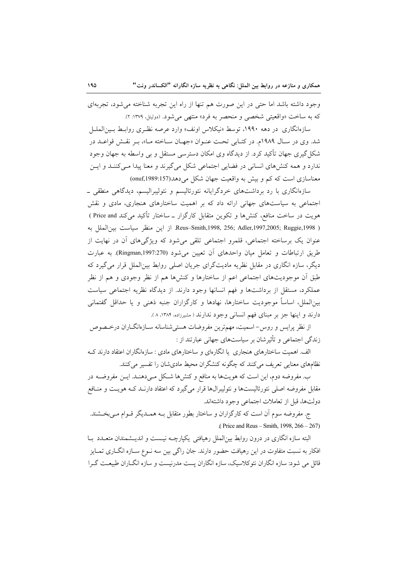وجود داشته باشد اما حتى در اين صورت هم تنها از راه اين تجربه شناخته مى شود، تجربهاى كه به ساخت «واقعيتي شخصي و منحصر به فرد» منتهي مي شود. (دوليتل، ١٣٧٩: ٢).

سازهانگاری در دهه ۱۹۹۰، توسط «نیکلاس اونف» وارد عرصه نظـری روابـط بـین|لملــل شد. وي در سـال ١٩٨٩م. در كتـابي تحـت عنـوان «جهـان سـاخته مـا»، بـر نقـش قواعـد در شکل گیری جهان تأکید کرد. از دیدگاه وی امکان دسترسی مستقل و بی واسطه به جهان وجود ندارد و همه کنشهای انسانی در فضایی اجتماعی شکل میگیرند و معنا پیدا مـیکننـد و ایـن معناسازی است که کم و بیش به واقعیت جهان شکل می دهد(157:1989) (onuf)

سازهانگاری با رد برداشتهای خردگرایانه نئورئالیسم و نئولیبرالیسم، دیدگاهی منطقی ـ اجتماعی به سیاستهای جهانی ارائه داد که بر اهمیت ساختارهای هنجاری، مادی و نقش هویت در ساخت منافع، کنشها و تکوین متقابل کارگزار ـ ساختار تأکید میکند Price and ) ( Reus–Smith,1998, 256; Adler,1997,2005; Ruggie,1998. از اين منظر سياست بين|لملل به عنوان یک برساخته اجتماعی، قلمرو اجتماعی تلقی میشود که ویژگیهای أن در نهایت از طريق ارتباطات و تعامل ميان واحدهاى أن تعيين مى شود (Ringman,1997:270). به عبارت دیگر، سازه انگاری در مقابل نظریه مادیتگرای جریان اصلی روابط بینالملل قرار میگیرد که طبق آن موجودیتهای اجتماعی اعم از ساختارها و کنشها هم از نظر وجودی و هم از نظر عملکرد، مستقل از برداشتها و فهم انسانها وجود دارند. از دیدگاه نظریه اجتماعی سیاست بینالملل، اساساً موجودیت ساختارها، نهادها و کارگزاران جنبه ذهنی و یا حداقل گفتمانی دارند و اینها جز بر مبنای فهم انسانی وجود ندارند ( مشیرزاده، ۱۳۸۴، ۸).

از نظر پرایس و روس-اسمیت، مهمترین مفروضات هستیشناسانه سـازەانگــاران درخــصوص زندگی اجتماعی و تأثیرشان بر سیاستهای جهانی عبارتند از :

الف. اهمیت ساختارهای هنجاری یا انگارهای و ساختارهای مادی : سازهانگاران اعتقاد دارند ک نظامهای معنایی تعریف میکنند که چگونه کنشگران محیط مادیشان را تفسیر میکنند.

ب. مفروضه دوم، این است که هویتها به منافع و کنشها شکل مـیدهنـد. ایـن مفروضــه در مقابل مفروضه اصلی نئورئالیستها و نئولیبرالها قرار میگیرد که اعتقاد دارنـد کـه هویـت و منـافع دولتها، قبل از تعاملات اجتماعی وجود داشتهاند.

ج. مفروضه سوم أن است كه كارگزاران و ساختار بطور متقابل بـه همــديگر قــوام مــىبخــشند. (Price and Reus – Smith, 1998,  $266 - 267$ )

البته سازه انگاری در درون روابط بین|لملل رهیافتی یکپارچـه نیـست و اندیـشمندان متعـدد بــا افکار به نسبت متفاوت در این رهیافت حضور دارند. جان راگی بین سه نــوع ســازه انگــاری تمــایز قائل می شود: سازه انگاران نئوکلاسیک، سازه انگاران پست مدرنیست و سازه انگــاران طبیعـت گــرا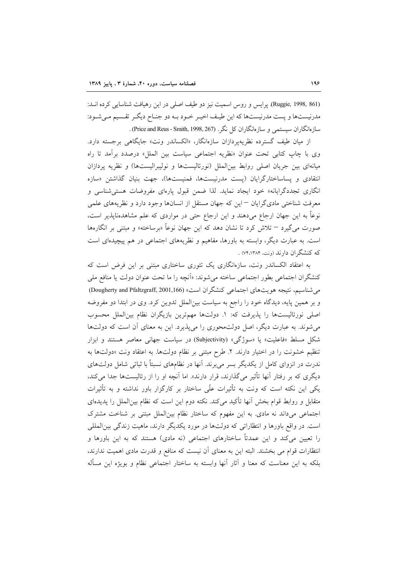(Ruggie, 1998, 861). يرايس و روس اسميت نيز دو طيف اصلي در اين رهيافت شناسايي كرده اند: مدرنیستها و پست مدرنیستها که این طیـف اخیـر خـود بـه دو جنـاح دیگـر تقـسیم مـی شـود: سازهانگاران سیستمی و سازهانگاران کل نگر. (Price and Reus - Smith, 1998, 267) .

از ميان طيف گسترده نظريه يردازان سازهانگار، «الكساندر ونت» جايگاهي برجسته دارد. وى با چاپ كتابى تحت عنوان «نظريه اجتماعى سياست بين الملل» درصدد برآمد تا راه میانهای بین جریان اصلی روابط بین الملل (نورئالیستها و نولیبرالیستها) و نظریه پردازان انتقادی و پساساختارگرایان (پست مدرنیستها، فمنیستها)، جهت بنیان گذاشتن «سازه انگاری تجددگرایانه» خود ایجاد نماید. لذا ضمن قبول پارهای مفروضات هستی شناسی و معرفت شناختی مادیگرایان <sup>—</sup>این که جهان مستقل از انسانها وجود دارد و نظریههای علمی نوعاً به این جهان ارجاع میدهند و این ارجاع حتی در مواردی که علم مشاهدهناپذیر است، صورت مي گيرد – تلاش كرد تا نشان دهد كه اين جهان نوعاً «برساخته» و مبتني بر انگارهها است. به عبارت دیگر، وابسته به باورها، مفاهیم و نظریههای اجتماعی در هم پیچیدهای است که کنشگران دارند (ونت، ۷۴،۱۳۸۴) .

به اعتقاد الکساندر ونت، سازهانگاری یک تئوری ساختاری مبتنی بر این فرض است که كنشگران اجتماعي بطور اجتماعي ساخته مي شوند: «آنچه را ما تحت عنوان دولت يا منافع ملي می شناسیم، نتیجه هویتهای اجتماعی کنشگران است» (Dougherty and Pfaltzgraff, 2001,166) و بر همین پایه، دیدگاه خود را راجع به سیاست بینالملل تدوین کرد. وی در ابتدا دو مفروضه اصلی نورئالیستها را پذیرفت که: ١. دولتها مهمترین بازیگران نظام بینالملل محسوب می شوند. به عبارت دیگر، اصل دولتمحوری را می پذیرد. این به معنای آن است که دولتها شکل مسلط «فاعلیت» یا «سوژگی» (Subjectivity) در سیاست جهانی معاصر هستند و ابزار تنظیم خشونت را در اختیار دارند. ۲. طرح مبتنی بر نظام دولتها. به اعتقاد ونت «دولتها به ندرت در انزوای کامل از یکدیگر بسر می برند. آنها در نظامهای نسبتاً با ثباتی شامل دولتهای دیگری که بر رفتار آنها تأثیر میگذارند، قرار دارند». اما آنچه او را از رئالیستها جدا میکند، یکی این نکته است که ونت به تأثیرات علّی ساختار بر کارگزار باور نداشته و به تأثیرات متقابل و روابط قوام بخش آنها تأكيد مي كند. نكته دوم اين است كه نظام بين(لملل را يديدهاي اجتماعی میداند نه مادی. به این مفهوم که ساختار نظام بین الملل مبتنی بر شناخت مشترک است. در واقع باورها و انتظاراتی که دولتها در مورد یکدیگر دارند، ماهیت زندگی بین المللی را تعیین می کند و این عمدتاً ساختارهای اجتماعی (نه مادی) هستند که به این باورها و انتظارات قوام می بخشند. البته این به معنای آن نیست که منافع و قدرت مادی اهمیت ندارند، بلکه به این معناست که معنا و آثار آنها وابسته به ساختار اجتماعی نظام و بویژه این مسأله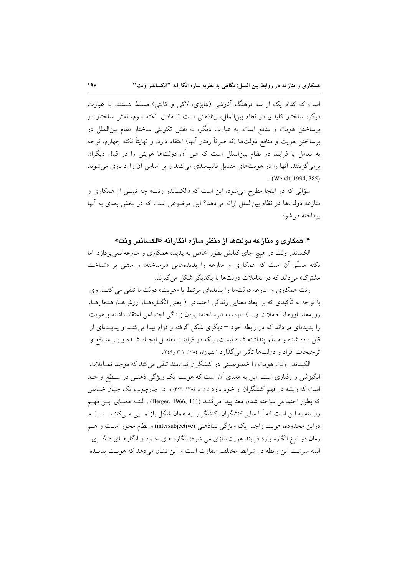است که کدام یک از سه فرهنگ آنارشی (هابزی، لاکی و کانتی) مسلط هستند. به عبارت دیگر، ساختار کلیدی در نظام بین|لملل، بیناذهنی است تا مادی. نکته سوم، نقش ساختار در برساختن هويت و منافع است. به عبارت ديگر، به نقش تكويني ساختار نظام بين الملل در برساختن هويت و منافع دولتها (نه صرفاً رفتار آنها) اعتقاد دارد. و نهايتاً نكته چهارم، توجه به تعامل یا فرایند در نظام بین|لملل است که طی آن دولتها هویتی را در قبال دیگران برمیگزینند، آنها را در هویتهای متقابل قالببندی میکنند و بر اساس آن وارد بازی می شوند . (Wendt, 1994, 385)

سؤالي كه در اينجا مطرح مي شود، اين است كه «الكساندر ونت» چه تبييني از همكاري و منازعه دولتها در نظام بین الملل ارائه می دهد؟ این موضوعی است که در بخش بعدی به آنها ير داخته مي شو د.

## ۴. همکاری و منازعه دولتها از منظر سازه انگارانه «الکساندر ونت»

الکساندر ونت در هیچ جای کتابش بطور خاص به پدیده همکاری و منازعه نمیپردازد. اما نکته مسلّم آن است که همکاری و منازعه را پدیدههایی «برساخته» و مبتنی بر «شناخت مشترک» می داند که در تعاملات دولتها با یکدیگر شکل می گیرند.

ونت همکاری و منازعه دولتها را پدیدهای مرتبط با «هویت» دولتها تلقی می کنـد. وی با توجه به تأکیدی که بر ابعاد معنایی زندگی اجتماعی ( یعنی انگــارههــا، ارزش۵ــا، هنجارهــا، رویهها، باورها، تعاملات و... ) دارد، به «برساخته» بودن زندگی اجتماعی اعتقاد داشته و هویت را پدیدهای میداند که در رابطه خود – دیگری شکل گرفته و قوام پیدا می کنـد و پدیــدهای از قبل داده شده و مسلَّم پنداشته شده نیست، بلکه در فراینـد تعامـل ایجـاد شـده و بـر منـافع و ترجيحات افراد و دولتها تأثير مي گذارد (مشيرزاده،١٣٨٤، ٣٣٢ و٣٤٩).

الکساندر ونت هویت را خصوصیتی در کنشگران نیتمند تلقی می کند که موجد تمـایلات انگیزشی و رفتاری است. این به معنای آن است که هویت یک ویژگی ذهنـی در سـطح واحـد است که ریشه در فهم کنشگران از خود دارد (ونت، ۱۳۸٤، ۳۲٦) و در چارچوب یک جهان خـاص كه بطور اجتماعي ساخته شده، معنا ييدا مي كنــد (Berger, 1966, 111) . البتــه معنــاي ايــن فهــم وابسته به این است که آیا سایر کنشگران، کنشگر را به همان شکل بازنمـایی مـیکننـد یـا نـه. دراين محدوده، هويت واجد يک ويژگي بيناذهني (intersubjective) و نظام محور است و هـم زمان دو نوع انگاره وارد فرایند هویتسازی می شود: انگاره های خـود و انگارهـای دیگـری. البته سرشت این رابطه در شرایط مختلف متفاوت است و این نشان میدهد که هویـت پدیــده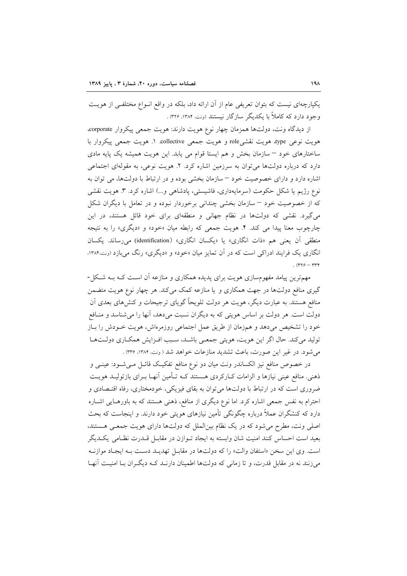یکپارچهای نیست که بتوان تعریفی عام از آن ارائه داد، بلکه در واقع انـواع مختلفـی از هویـت وجود دارد که کاملاً با یکدیگر سازگار نیستند (ونت، ۱۳۸۴، ۳۲۶).

از دیدگاه ونت، دولتها همزمان چهار نوع هویت دارند: هویت جمعی پیکروار corporate، هويت نوعي type، هويت نقشيrole و هويت جمعي collective. ١. هويت جمعي پيكروار با ساختارهای خود - سازمان بخش و هم ایستا قوام می یابد. این هویت همیشه یک پایه مادی دارد که درباره دولتها می توان به سرزمین اشاره کرد. ۲. هویت نوعی، به مقولهای اجتماعی اشاره دارد و دارای خصوصیت خود –سازمان بخشی بوده و در ارتباط با دولتها، می توان به نوع رژیم یا شکل حکومت (سرمایهداری، فاشیستی، پادشاهی و…) اشاره کرد. ۳. هویت نقشی که از خصوصیت خود – سازمان بخشی چندانی برخوردار نبوده و در تعامل با دیگران شکل می گیرد. نقشی که دولتها در نظام جهانی و منطقهای برای خود قائل هستند، در این چارچوب معنا پیدا می کند. ۴. هویت جمعی که رابطه میان «خود» و «دیگری» را به نتیجه منطقی اَن یعنی هم «ذات انگاری» یا «یکسان انگاری» (identification) میرساند. یکسان انگاری یک فرایند ادراکی است که در آن تمایز میان «خود» و «دیگری» رنگ میبازد (ونت،۱۳۸۴، .  $(rrf - rrf)$ 

مهمترین پیامد مفهومسازی هویت برای پدیده همکاری و منازعه آن است کـه بـه شـکل-گیری منافع دولتها در جهت همکاری و یا منازعه کمک می کند. هر چهار نوع هویت متضمن منافع هستند. به عبارت دیگر، هویت هر دولت تلویحاً گویای ترجیحات و کنشهای بعدی آن دولت است. هر دولت بر اساس هویتی که به دیگران نسبت میدهد، آنها را میشناسد و منـافع خود را تشخیص میدهد و همزمان از طریق عمل اجتماعی روزمرهاش، هویت خــودش را بــاز تولید میکند. حال اگر این هویت، هویتی جمعی باشـد، سـبب افـزایش همکـاری دولـتهـا می شود. در غیر این صورت، باعث تشدید منازعات خواهد شد ( ونت، ۱۳۸۴، ۳۳۶) .

در خصوص منافع نیز الکساندر ونت میان دو نوع منافع تفکیک قائـل مـیشــود: عینــی و ذهني. منافع عيني نيازها و الزامات كـاركردي هــستند كـه تــأمين آنهـا بــراي بازتوليــد هويــت ضروری است که در ارتباط با دولتها می توان به بقای فیزیکی، خودمختاری، رفاه اقتـصادی و احترام به نفس جمعی اشاره کرد. اما نوع دیگری از منافع، ذهنی هستند که به باورهـایی اشـاره دارد که کنشگران عملاً درباره چگونگی تأمین نیازهای هویتی خود دارند. و اینجاست که بحث اصلی ونت، مطرح میشود که در یک نظام بینالملل که دولتها دارای هویت جمعی هستند. بعید است احساس کنند امنیت شان وابسته به ایجاد تـوازن در مقابـل قــدرت نظـامی یکــدیگر است. وي اين سخن «استفان والت» را كه دولتها در مقابـل تهديـد دسـت بـه ايجـاد موازنـه می زنند نه در مقابل قدرت، و تا زمانی که دولتها اطمینان دارنـد کـه دیگـران بـا امنیـت آنهـا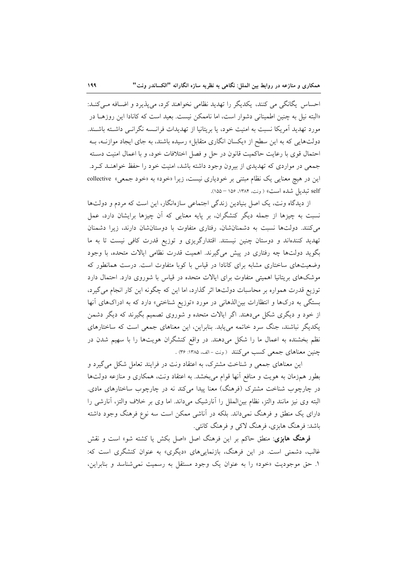احساس یگانگی می کنند، یکدیگر را تهدید نظامی نخواهند کرد، میپذیرد و اضافه می کنـد: «البته نیل به چنین اطمینانی دشوار است، اما ناممکن نیست. بعید است که کانادا این روزهــا در مورد تهدید آمریکا نسبت به امنیت خود، یا بریتانیا از تهدیدات فرانــسه نگرانــی داشــته باشــند. دولتهایی که به این سطح از «یکسان انگاری متقابل» رسیده باشند، به جای ایجاد موازنــه، بــه احتمال قوى با رعايت حاكميت قانون در حل و فصل اختلافات خود، و با اعمال امنيت دسـته جمعی در مواردی که تهدیدی از بیرون وجود داشته باشد، امنیت خود را حفظ خواهنـد کـرد. این در هیچ معنایی یک نظام مبتنی بر خودیاری نیست، زیرا «خود» به «خود جمعی» collective self تبدیل شده است» (ونت، ۱۳۸۴، ۱۵۶ – ۱۵۵).

از دیدگاه ونت، یک اصل بنیادین زندگی اجتماعی سازهانگار، این است که مردم و دولتها نسبت به چیزها از جمله دیگر کنشگران، بر پایه معنایی که آن چیزها برایشان دارد، عمل می کنند. دولتها نسبت به دشمنانشان، رفتاری متفاوت با دوستانشان دارند، زیرا دشمنان تهدید کنندهاند و دوستان چنین نیستند. اقتدارگریزی و توزیع قدرت کافی نیست تا به ما بگوید دولتها چه رفتاری در پیش میگیرند. اهمیت قدرت نظامی ایالات متحده، با وجود وضعیتهای ساختاری مشابه برای کانادا در قیاس با کوبا متفاوت است. درست همانطور که موشکهای بریتانیا اهمیتی متفاوت برای ایالات متحده در قیاس با شوروی دارد. احتمال دارد توزیع قدرت همواره بر محاسبات دولتها اثر گذارد، اما این که چگونه این کار انجام می گیرد، بستگی به درکها و انتظارات بینالذهانی در مورد «توزیع شناختی» دارد که به ادراکهای آنها از خود و دیگری شکل میدهند. اگر ایالات متحده و شوروی تصمیم بگیرند که دیگر دشمن یکدیگر نباشند، جنگ سرد خاتمه می یابد. بنابراین، این معناهای جمعی است که ساختارهای نظم بخشنده به اعمال ما را شکل میدهند. در واقع کنشگران هویتها را با سهیم شدن در چنین معناهای جمعی کسب میکنند (ونت-الف، ۱۳۸۵: ۳۶) .

این معناهای جمعی و شناخت مشترک، به اعتقاد ونت در فرایند تعامل شکل می گیرد و بطور همزمان به هويت و منافع آنها قوام مىبخشد. به اعتقاد ونت، همكارى و منازعه دولتها در چارچوب شناخت مشترک (فرهنگ) معنا پیدا میکند نه در چارچوب ساختارهای مادی. البته وى نيز مانند والتز، نظام بين|لملل را أنارشيك مىداند. اما وى بر خلاف والتز، أنارشى را دارای یک منطق و فرهنگ نمیداند. بلکه در آناشی ممکن است سه نوع فرهنگ وجود داشته باشد: فرهنگ هابزی، فرهنگ لاکی و فرهنگ کانتی.

فرهنگ هابزی: منطق حاکم بر این فرهنگ اصل «اصل بکش یا کشته شو» است و نقش غالب، دشمنی است. در این فرهنگ، بازنماییهای «دیگری» به عنوان کنشگری است که: ۱. حق موجودیت «خود» را به عنوان یک وجود مستقل به رسمیت نمی شناسد و بنابراین،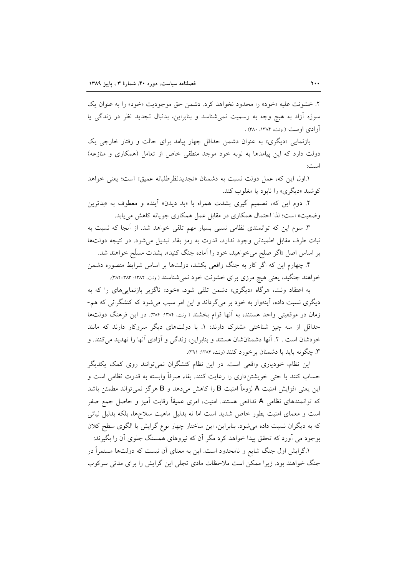۲. خشونت عليه «خود» را محدود نخواهد كرد. دشمن حق موجوديت «خود» را به عنوان يك سوژه اَزاد به هیچ وجه به رسمیت نمیشناسد و بنابراین، بدنبال تجدید نظر در زندگی یا آزادی اوست (ونت، ۱۳۸۴، ۳۸۰).

بازنمایی «دیگری» به عنوان دشمن حداقل چهار پیامد برای حالت و رفتار خارجی یک دولت دارد که این پیامدها به نوبه خود موجد منطقی خاص از تعامل (همکاری و منازعه) است:

١.اول اين كه، عمل دولت نسبت به دشمنان «تجديدنظرطلبانه عميق» است؛ يعني خواهد کو شيد «ديگري» را نابو د يا مغلوب کند.

۲. دوم این که، تصمیم گیری بشدت همراه با «بد دیدن» آینده و معطوف به «بدترین وضعیت» است؛ لذا احتمال همکاری در مقابل عمل همکاری جویانه کاهش می یابد.

۳. سوم این که توانمندی نظامی نسبی بسیار مهم تلقی خواهد شد. از آنجا که نسبت به نیات طرف مقابل اطمینانی وجود ندارد، قدرت به رمز بقاء تبدیل میشود. در نتیجه دولتها بر اساس اصل «اگر صلح میخواهید، خود را آماده جنگ کنید»، بشدت مسلّح خواهند شد.

۴. چهارم این که اگر کار به جنگ واقعی بکشد، دولتها بر اساس شرایط متصوره دشمن خواهند جنگید، یعنی هیچ مرزی برای خشونت خود نمیشناسند (ونت، ۱۳۸۴: ۳۸۳-۳۸۲).

به اعتقاد ونت، هرگاه «دیگری» دشمن تلقی شود، «خود» ناگزیر بازنماییهای را که به دیگری نسبت داده، آینهوار به خود بر میگرداند و این امر سبب میشود که کنشگرانی که هم-زمان در موقعیتی واحد هستند، به آنها قوام بخشند ( ونت، ۱۳۸۴: ۳۸۴). در این فرهنگ دولتها حداقل از سه چیز شناختی مشترک دارند: ۱. با دولتهای دیگر سروکار دارند که مانند خودشان است . ۲. آنها دشمنان شان هستند و بنابراین، زندگی و آزادی آنها را تهدید میکنند. و ۳. چگونه باید با دشمنان بر خورد کنند (ونت، ۱۳۸۴: ۳۹۱).

این نظام، خودیاری واقعی است. در این نظام کنشگران نمیتوانند روی کمک یکدیگر حساب کنند یا حتی خویشتنداری را رعایت کنند. بقاء صرفاً وابسته به قدرت نظامی است و این یعنی افزایش امنیت A لزوماً امنیت B را کاهش میدهد و B هرگز نمی تواند مطمئن باشد که توانمندهای نظامی A تدافعی هستند. امنیت، امری عمیقاً رقابت آمیز و حاصل جمع صفر است و معمای امنیت بطور خاص شدید است اما نه بدلیل ماهیت سلاحها، بلکه بدلیل نیاتی که به دیگران نسبت داده میشود. بنابراین، این ساختار چهار نوع گرایش یا الگوی سطح کلان بوجود می آورد که تحقق پیدا خواهد کرد مگر آن که نیروهای همسنگ جلوی آن را بگیرند:

۱.گرایش اول جنگ شایع و نامحدود است. این به معنای آن نیست که دولتها مستمراً در جنگ خواهند بود. زیرا ممکن است ملاحظات مادی تجلی این گرایش را برای مدتی سرکوب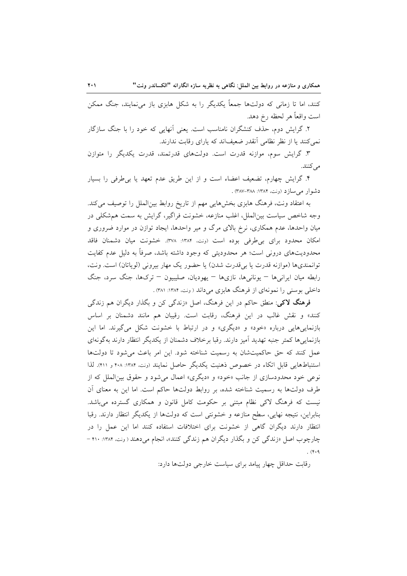کنند، اما تا زمانی که دولتها جمعاً یکدیگر را به شکل هابزی باز مینمایند، جنگ ممکن است واقعاً هر لحظه رخ دهد.

۲. گرایش دوم، حذف کنشگران نامناسب است. یعنی آنهایی که خود را با جنگ سازگار نمی کنند یا از نظر نظامی آنقدر ضعیفاند که پارای رقابت ندارند.

۳. گرایش سوم، موازنه قدرت است. دولتهای قدرتمند، قدرت یکدیگر را متوازن مى كنند.

۴. گرایش چهارم، تضعیف اعضاء است و از این طریق عدم تعهد یا بی طرفی را بسیار دشوار می سازد (ونت، ۱۳۸۴: ۳۸۷-۳۸۷).

به اعتقاد ونت، فرهنگ هابزی بخشهایی مهم از تاریخ روابط بین|لملل را توصیف می کند. وجه شاخص سیاست بین|لملل، اغلب منازعه، خشونت فراگیر، گرایش به سمت همشکلی در میان واحدها، عدم همکاری، نرخ بالای مرگ و میر واحدها، ایجاد توازن در موارد ضروری و امكان محدود براي بي طرفي بوده است (ونت، ١٣٨٤: ٣٧٨). خشونت ميان دشمنان فاقد محدودیتهای درونی است؛ هر محدودیتی که وجود داشته باشد، صرفاً به دلیل عدم کفایت توانمندیها (موازنه قدرت یا بیقدرت شدن) یا حضور یک مهار بیرونی (لویاتان) است. ونت، رابطه میان ایرانبیها – یونانبیها، نازیها – یهودیان، صلیبیون – ترکها، جنگ سرد، جنگ داخلی بوسنی را نمونهای از فرهنگ هابزی می داند (ونت، ۱۳۸۴: ۳۸۱).

فرهنگ لاکي: منطق حاکم در اين فرهنگ، اصل «زندگي کن و بگذار ديگران هم زندگي کنند» و نقش غالب در این فرهنگ، رقابت است. رقیبان هم مانند دشمنان بر اساس بازنماییهایی درباره «خود» و «دیگری» و در ارتباط با خشونت شکل میگیرند. اما این بازنمایی ها کمتر جنبه تهدید آمیز دارند. رقبا برخلاف دشمنان از یکدیگر انتظار دارند بهگونهای عمل كنند كه حق حاكميتشان به رسميت شناخته شود. اين امر باعث مي شود تا دولتها استنباطهایی قابل اتکاء در خصوص ذهنیت یکدیگر حاصل نمایند (ونت ١٣٨۴: ۴٠٨ و ۴١١). لذا نوعي خود محدودسازي از جانب «خود» و «ديگري» اعمال مي شود و حقوق بينالملل كه از طرف دولتها به رسمیت شناخته شده، بر روابط دولتها حاکم است. اما این به معنای آن نیست که فرهنگ لاکی نظام مبتنی بر حکومت کامل قانون و همکاری گسترده میباشد. بنابراین، نتیجه نهایی، سطح منازعه و خشونتی است که دولتها از یکدیگر انتظار دارند. رقبا انتظار دارند دیگران گاهی از خشونت برای اختلافات استفاده کنند اما این عمل را در چارچوب اصل «زندگی کن و بگذار دیگران هم زندگی کنند»، انجام میدهند ( ونت، ۱۳۸۴: ۴۱۰ - $(4.9)$ 

رقابت حداقل چهار پیامد برای سیاست خارجی دولتها دارد: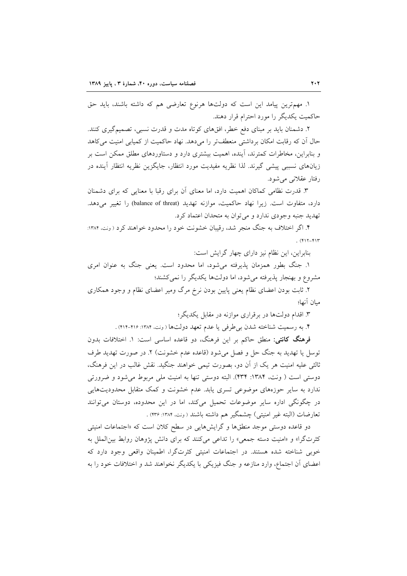١. مهمترين پيامد اين است كه دولتها هرنوع تعارضي هم كه داشته باشند، بايد حق حاکمیت یکدیگر را مورد احترام قرار دهند.

۲. دشمنان باید بر مبنای دفع خطر، افقهای کوتاه مدت و قدرت نسبی، تصمیمگیری کنند. حال آن که رقابت امکان برداشتی منعطفتر را میدهد. نهاد حاکمیت از کمیابی امنیت میکاهد و بنابراین، مخاطرات کمترند، آینده، اهمیت بیشتری دارد و دستاوردهای مطلق ممکن است بر زیانهای نسببی پیشی گیرند. لذا نظریه مفیدیت مورد انتظار، جایگزین نظریه انتظار أینده در رفتار عقلانی می شود.

۳. قدرت نظامی کماکان اهمیت دارد، اما معنای آن برای رقبا با معنایی که برای دشمنان دارد، متفاوت است. زيرا نهاد حاكميت، موازنه تهديد (balance of threat) را تغيير مي دهد. تهديد جنبه وجودي ندارد و مي توان به متحدان اعتماد كرد.

۴. اگر اختلاف به جنگ منجر شد، رقیبان خشونت خود را محدود خواهند کرد (ونت. ۱۳۸۴:  $(Y \mid Y - Y)$ 

بنابراین، این نظام نیز دارای چهار گرایش است:

۱. جنگ بطور همزمان پذیرفته می شود، اما محدود است. یعنی جنگ به عنوان امری مشروع و بهنجار پذیرفته می شود، اما دولتها یکدیگر را نمی کشند؛

۲. ثابت بودن اعضای نظام یعنی پایین بودن نرخ مرگ ومیر اعضای نظام و وجود همکاری ميان آنها؛

۳. اقدام دولتها در برقراری موازنه در مقابل یکدیگر؛

۴. به رسمیت شناخته شدن بی طرفی یا عدم تعهد دولتها (ونت ۱۳۸۴: ۴۱۶-۴۱۴).

**فرهنگ کانتی**: منطق حاکم بر این فرهنگ، دو قاعده اساسی است: ۱. اختلافات بدون توسل یا تهدید به جنگ حل و فصل میشود (قاعده عدم خشونت) ۲. در صورت تهدید طرف ثالثی علیه امنیت هر یک از آن دو، بصورت تیمی خواهند جنگید. نقش غالب در این فرهنگ، دوستی است ( ونت، ۱۳۸۴: ۴۳۴). البته دوستی تنها به امنیت ملی مربوط می شود و ضرورتی ندارد به سایر حوزههای موضوعی تسری یابد. عدم خشونت و کمک متقابل محدودیتهایی در چگونگی اداره سایر موضوعات تحمیل میکند، اما در این محدوده، دوستان میتوانند تعارضات (البته غير امنيتي) چشمگير هم داشته باشند ( ونت، ١٣٨۴: ٢٣۶) .

دو قاعده دوستی موجد منطقها و گرایشهایی در سطح کلان است که «اجتماعات امنیتی کثرتگرا» و «امنیت دسته جمعی» را تداعی میکنند که برای دانش پژوهان روابط بین الملل به خوبی شناخته شده هستند. در اجتماعات امنیتی کثرتگرا، اطمینان واقعی وجود دارد که اعضای آن اجتماع، وارد منازعه و جنگ فیزیکی با یکدیگر نخواهند شد و اختلافات خود را به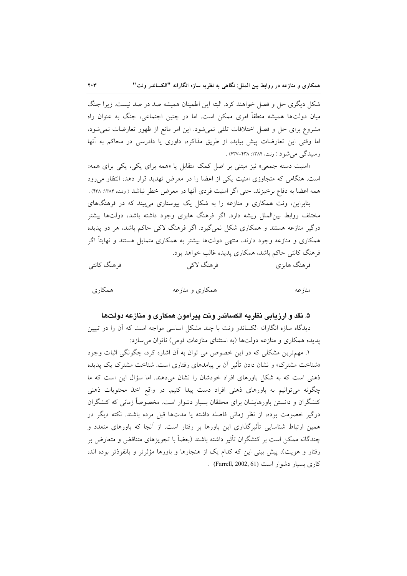شکل دیگری حل و فصل خواهند کرد. البته این اطمینان همیشه صد در صد نیست. زیرا جنگ میان دولتها همیشه منطقاً امری ممکن است. اما در چنین اجتماعی، جنگ به عنوان راه مشروع برای حل و فصل اختلافات تلقی نمیشود. این امر مانع از ظهور تعارضات نمیشود، اما وقتی این تعارضات پیش بیاید، از طریق مذاکره، داوری یا دادرسی در محاکم به آنها رسیدگی می شود ( ونت، ۱۳۸۴: ۴۳۷-۴۳۷) .

«امنیت دسته جمعی» نیز مبتنی بر اصل کمک متقابل یا «همه برای یکی، یکی برای همه» است. هنگامی که متجاوزی امنیت یکی از اعضا را در معرض تهدید قرار دهد، انتظار می رود همه اعضا به دفاع برخیزند، حتی اگر امنیت فردی آنها در معرض خطر نباشد ( ونت، ۱۳۸۴: ۴۳۸).

بنابراین، ونت همکاری و منازعه را به شکل یک پیوستاری می بیند که در فرهنگهای مختلف روابط بینالملل ریشه دارد. اگر فرهنگ هابزی وجود داشته باشد، دولتها بیشتر درگیر منازعه هستند و همکاری شکل نمیگیرد. اگر فرهنگ لاکی حاکم باشد، هر دو یدیده همکاری و منازعه وجود دارند، منتهی دولتها بیشتر به همکاری متمایل هستند و نهایتاً اگر فرهنگ کانتی حاکم باشد، همکاری پدیده غالب خواهد بود.

| فرهنگ کانتی | فرهنگ لاکي | فرهنگ هابزی |
|-------------|------------|-------------|
|             |            |             |

| همكاري | همکاری و منازعه | منازعه |
|--------|-----------------|--------|
|        |                 |        |

## ۵. نقد و ارزیابی نظریه الکساندر ونت پیرامون همکاری و منازعه دولتها

دیدگاه سازه انگارانه الکساندر ونت با چند مشکل اساسی مواجه است که آن را در تبیین يديده همكاري و منازعه دولتها (به استثناي منازعات قومي) ناتوان مي سازد:

۱. مهمترین مشکلی که در این خصوص می توان به اَن اشاره کرد، چگونگی اثبات وجود «شناخت مشترک» و نشان دادن تأثیر آن بر پیامدهای رفتاری است. شناخت مشترک یک پدیده ذهنی است که به شکل باورهای افراد خودشان را نشان می دهند. اما سؤال این است که ما چگونه میتوانیم به باورهای ذهنی افراد دست پیدا کنیم. در واقع اخذ محتویات ذهنی کنشگران و دانستن باورهایشان برای محققان بسیار دشوار است. مخصوصاً زمانی که کنشگران درگیر خصومت بوده، از نظر زمانی فاصله داشته یا مدتها قبل مرده باشند. نکته دیگر در همین ارتباط شناسایی تأثیرگذاری این باورها بر رفتار است. از آنجا که باورهای متعدد و چندگانه ممکن است بر کنشگران تأثیر داشته باشند (بعضاً با تجویزهای متناقض و متعارض بر رفتار و هویت)، پیش بینی این که کدام یک از هنجارها و باورها مؤثرتر و بانفوذتر بوده اند، کاری بسیار دشوار است (Farrell, 2002, 61).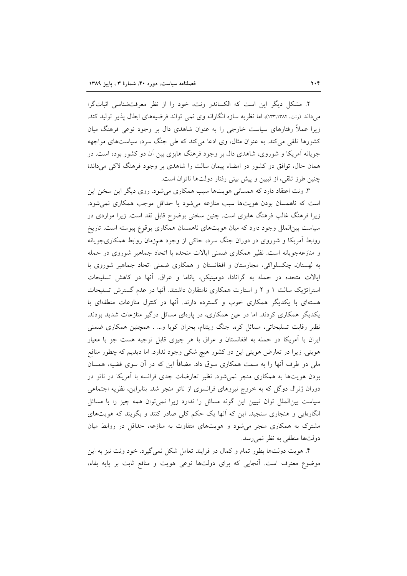۲. مشکل دیگر این است که الکساندر ونت، خود را از نظر معرفتشناسی اثباتگرا می داند (ونت، ۱۳۲٬۱۳۸۴)، اما نظریه سازه انگارانه وی نمی تواند فرضیههای ابطال پذیر تولید کند. زیرا عملاً رفتارهای سیاست خارجی را به عنوان شاهدی دال بر وجود نوعی فرهنگ میان کشورها تلقی میکند. به عنوان مثال، وی ادعا میکند که طی جنگ سرد، سیاستهای مواجهه جویانه آمریکا و شوروی، شاهدی دال بر وجود فرهنگ هابزی بین آن دو کشور بوده است. در همان حال، توافق دو کشور در امضاء پیمان سالت را شاهدی بر وجود فرهنگ لاکی میداند؛ چنین طرز تلقی، از تبیین و پیش بینی رفتار دولتها ناتوان است.

۳. ونت اعتقاد دارد که همسانی هویتها سبب همکاری می شود. روی دیگر این سخن این است که ناهمسان بودن هویتها سبب منازعه میشود یا حداقل موجب همکاری نمیشود. زیرا فرهنگ غالب فرهنگ هابزی است. چنین سخنی بوضوح قابل نقد است. زیرا مواردی در سیاست بین|لملل وجود دارد که میان هویتهای ناهمسان همکاری بوقوع پیوسته است. تاریخ روابط آمریکا و شوروی در دوران جنگ سرد، حاکی از وجود همزمان روابط همکاریجویانه و منازعهجویانه است. نظیر همکاری ضمنی ایالات متحده با اتحاد جماهیر شوروی در حمله به لهستان، چکسلواکی، مجارستان و افغانستان و همکاری ضمنی اتحاد جماهیر شوروی با ایالات متحده در حمله به گرانادا، دومینیکن، پاناما و عراق أنها در کاهش تسلیحات استراتژیک سالت ۱ و ۲ و استارت همکاری نامتقارن داشتند. آنها در عدم گسترش تسلیحات هستهای با یکدیگر همکاری خوب و گسترده دارند. آنها در کنترل منازعات منطقهای با یکدیگر همکاری کردند. اما در عین همکاری، در پارهای مسائل درگیر منازعات شدید بودند. نظیر رقابت تسلیحاتی، مسائل کره، جنگ ویتنام، بحران کوبا و… . همچنین همکاری ضمنی ایران با آمریکا در حمله به افغانستان و عراق با هر چیزی قابل توجیه هست جز با معیار هویتی. زیرا در تعارض هویتی این دو کشور هیچ شکی وجود ندارد. اما دیدیم که چطور منافع ملی دو طرف آنها را به سمت همکاری سوق داد. مضافاً این که در آن سوی قضیه، همسان بودن هویتها به همکاری منجر نمیشود. نظیر تعارضات جدی فرانسه با آمریکا در ناتو در دوران ژنرال دوگل که به خروج نیروهای فرانسوی از ناتو منجر شد. بنابراین، نظریه اجتماعی سیاست بینالملل توان تبیین این گونه مسائل را ندارد زیرا نمی توان همه چیز را با مسائل انگارهایی و هنجاری سنجید. این که آنها یک حکم کلی صادر کنند و بگویند که هویتهای مشترک به همکاری منجر می شود و هویتهای متفاوت به منازعه، حداقل در روابط میان دولتها منطقی به نظر نمی رسد.

۴. هویت دولتها بطور تمام و کمال در فرایند تعامل شکل نمیگیرد. خود ونت نیز به این موضوع معترف است. أنجايي كه براي دولتها نوعي هويت و منافع ثابت بر پايه بقاء،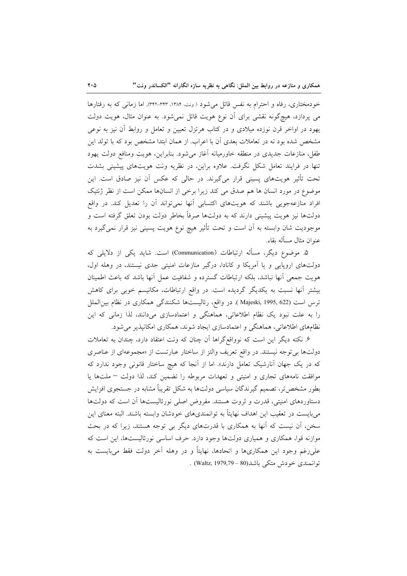خودمختاری، رفاه و احترام به نفس قائل می شود (ونت، ۱۳۸۴، ۳۴۳-۳۴۳). اما زمانی که به رفتارها می پردازد، هیچگونه نقشی برای آن نوع هویت قائل نمیشود. به عنوان مثال، هویت دولت یهود در اواخر قرن نوزده میلادی و در کتاب هرتزل تعیین و تعامل و روابط أن نیز به نوعی مشخص شده بود نه در تعاملات بعدی آن با اعراب. از همان ابتدا مشخص بود که با تولد این طفل، منازعات جدیدی در منطقه خاورمیانه آغاز میشود. بنابراین، هویت ومنافع دولت یهود تنها در فرایند تعامل شکل نگرفت. علاوه براین، در نظریه ونت هویتهای پیشینی بشدت تحت تأثیر هویتهای پسینی قرار میگیرند. در حالی که عکس آن نیز صادق است. این موضوع در مورد انسان ها هم صدق می کند زیرا برخی از انسانها ممکن است از نظر ژنتیک افراد منازعهجویی باشند که هویتهای اکتسابی آنها نمیتواند آن را تعدیل کند. در واقع دولتها نیز هویت پیشینی دارند که به دولتها صرفاً بخاطر دولت بودن تعلق گرفته است و موجودیت شان وابسته به آن است و تحت تأثیر هیچ نوع هویت پسینی نیز قرار نمیگیرد به عنوان مثال مسأله بقاء.

۵. موضوع دیگر، مسأله ارتباطات (Communication) است. شاید یکی از دلایلی که دولتهای اروپایی و یا آمریکا و کانادا، درگیر منازعات امنیتی جدی نیستند، در وهله اول، هويت جمعي أنها نباشد، بلكه ارتباطات گسترده و شفافيت عمل أنها باشد كه باعث اطمينان بیشتر آنها نسبت به یکدیگر گردیده است. در واقع ارتباطات، مکانیسم خوبی برای کاهش ترس است (Majeski, 1995, 622 ). در واقع، رئالیستها شکنندگی همکاری در نظام بین الملل را به علت نبود یک نظام اطلاعاتی، هماهنگی و اعتمادسازی میدانند، لذا زمانی که این نظامهای اطلاعاتی، هماهنگی و اعتمادسازی ایجاد شوند، همکاری امکانیذیر می شود.

۶. نکته دیگر این است که نوواقعگراها اَن چنان که ونت اعتقاد دارد، چندان به تعاملات دولتها بی توجه نیستند. در واقع تعریف والتز از ساختار عبارتست از «مجموعهای از عناصری که در یک جهان آنارشیک تعامل دارند». اما از آنجا که هیچ ساختار قانونی وجود ندارد که موافقت نامههای تجاری و امنیتی و تعهدات مربوطه را تضمین کند، لذا دولت - ملتها یا بطور مشخص تر، تصمیم گیرندگان سیاسی دولتها به شکل تقریباً مشابه در جستجوی افزایش دستاوردهای امنیتی، قدرت و ثروت هستند. مفروض اصلی نورئالیستها آن است که دولتها میبایست در تعقیب این اهداف نهایتاً به توانمندیهای خودشان وابسته باشند. البته معنای این سخن، آن نیست که آنها به همکاری با قدرتهای دیگر بی توجه هستند، زیرا که در بحث موازنه قوا، همکاری و همیاری دولتها وجود دارد. حرف اساسی نورئالیستها، این است که علی رغم وجود این همکاریها و اتحادها، نهایتاً و در وهله آخر دولت فقط می بایست به توانمندي خودش متكي باشد(80 – Waltz, 1979,79) .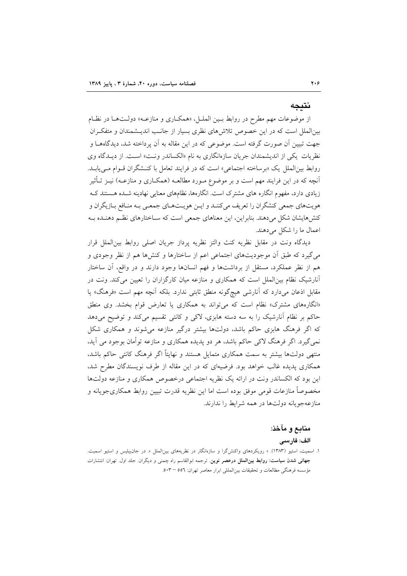## نتىجە

از موضوعات مهم مطرح در روابط بـين الملـل، «همكـاري و منازعـه» دولـتهـا در نظـام بینالملل است که در این خصوص تلاشهای نظری بسیار از جانـب اندیـشمندان و متفکـران جهت تبیین آن صورت گرفته است. موضوعی که در این مقاله به آن پرداخته شد، دیدگاههـا و نظریات یکی از اندیشمندان جریان سازهانگاری به نام «الکساندر ونت» است. از دیـدگاه وی روابط بین|لملل یک «برساخته اجتماعی» است که در فرایند تعامل با کنـشگران قـوام مـیLیابـد. آنچه که در این فرایند مهم است و بر موضوع مـورد مطالعــه (همکــاری و منازعــه) نیــز تــأثیر زیادی دارد، مفهوم انگاره های مشترک است. انگارهها، نظامهای معنایی نهادینه شـده هـستند کـه هویتهای جمعی کنشگران را تعریف میکننـد و ایـن هویـتهـای جمعـی بـه منـافع بـازیگران و کنشهایشان شکل میدهند. بنابراین، این معناهای جمعی است که سـاختارهای نظـم دهنـده بـه اعمال ما را شکل می دهند.

ديدگاه ونت در مقابل نظريه كنث والتز نظريه پرداز جريان اصلى روابط بين|لملل قرار میگیرد که طبق آن موجودیتهای اجتماعی اعم از ساختارها و کنشها هم از نظر وجودی و هم از نظر عملکرد، مستقل از برداشتها و فهم انسانها وجود دارند و در واقع، آن ساختار آنارشیک نظام بین الملل است که همکاری و منازعه میان کارگزاران را تعیین میکند. ونت در مقابل اذعان میدارد که آنارشی هیچگونه منطق ثابتی ندارد. بلکه آنچه مهم است «فرهنگ» یا «انگارههای مشترک» نظام است که می تواند به همکاری یا تعارض قوام بخشد. وی منطق حاکم بر نظام آنارشیک را به سه دسته هابزی، لاکی و کانتی تقسیم میکند و توضیح میدهد که اگر فرهنگ هابزی حاکم باشد، دولتها بیشتر درگیر منازعه می شوند و همکاری شکل نمی گیرد. اگر فرهنگ لاکی حاکم باشد، هر دو پدیده همکاری و منازعه توأمان بوجود می آید، منتهی دولتها بیشتر به سمت همکاری متمایل هستند و نهایتاً اگر فرهنگ کانتی حاکم باشد، همکاری پدیده غالب خواهد بود. فرضیهای که در این مقاله از طرف نویسندگان مطرح شد، این بود که الکساندر ونت در ارائه یک نظریه اجتماعی درخصوص همکاری و منازعه دولتها مخصوصاً منازعات قومی موفق بوده است اما این نظریه قدرت تبیین روابط همکاریجویانه و منازعهجويانه دولتها در همه شرايط را ندارند.

#### منابع و مآخذ:

#### الف: فارسى

۱. اسمیت، استیو (۱۳۸۳). « رویکردهای واکنش\$را و سازهانگار در نظریههای بین|لملل ». در جان,بیلیس و استیو اسمیت. جهانی شدن سیاست: روابط بین الملل درعصر نوین. ترجمه ابوالقاسم راه چمنی و دیگران. جلد اول. تهران: انتشارات مؤسسه فرهنگی مطالعات و تحقیقات بین المللی ابرار معاصر تهران: ٥٥٦ – ٥٠٣.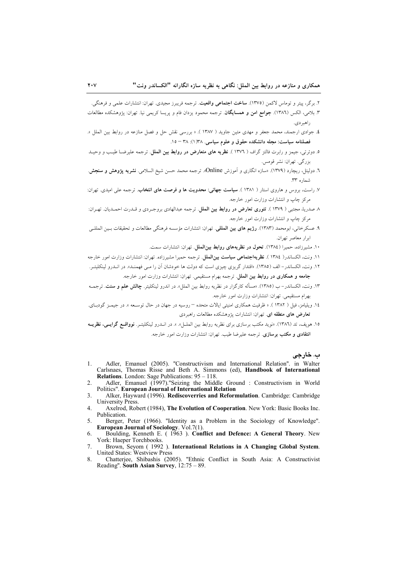- ۲. برگر، پیتر و توماس لاکمن (۱۳۷۵). **ساخت اجتماعی واقعیت**. ترجمه فریبرز مجیدی. تهران: انتشارات علمی و فرهنگی.
- ٣. بلامي، الكس (١٣٨٦). **جوامع امن و همسايگان**. ترجمه محمود يزدان فام و يريسا كريمي نيا. تهران: يژوهشكده مطالعات راهبر دي.
- ٤. جوادي ارجمند، محمد جعفر و مهدي متين جاويد ( ١٣٨٧ ). « بررسي نقش حل و فصل منازعه در روابط بين الملل ». فصلنامه سياست: مجله دانشكده حقوق و علوم سياسي. ١٣٨(١): ٣٨ = ١٥.
- ۰. دوئرتی، جیمز و رابرت فالتز گراف ( ۱۳۷۲ ). **نظریه های متعارض در روابط بین الملل**. ترجمه علیرضــا طیـب و وحیــد بزرگی. تھران: نشر قومس.
- ٦. دوليتل، ريچارد (١٣٧٩). «سازه انگاري و اَموزش Online». ترجمه محمد حسن شيخ السلامي. **نشريه يژوهش و سنجش**. شماره ٣٣.
- ۷. راست، بروس و هاروی استار ( ۱۳۸۱ ). **سیاست جهانی: محدویت ها و فرصت های انتخاب**. ترجمه علی امیدی. تهران: مرکز چاپ و انتشارات وزارت امور خارجه.
- ٨ صدريا، مجتبي ( ١٣٧٩ ). تئوري تعارض در روابط بين الملل. ترجمه عبدالهادي بروجردي و قـدرت احمـديان. تهـران: مرکز چاپ و انتشارات وزارت امور خارجه.
- ٩. عسكرخاني، ابومحمد (١٣٨٣). **رژيم هاي بين المللي**. تهران: انتشارات مؤسسه فرهنگي مطالعات و تحقيقات بـين المللــي ابرار معاصر تهران.
	- ۱۰. مشيرزاده، حميرا (١٣٨٤). تحول در نظريههاي روابط بين الملل. تهران: انتشارات سمت.
- ۱۱. ونت، الكساندر( ١٣٨٤ ). **نظر يهاجتماعي سياست بين الملل**. ترجمه حميرا مشيرزاده. تهران: انتشارات وزارت امور خارجه
- ١٢. ونت، الكساندر الف (١٣٨٥). «اقتدار گر بزي چيزي است كه دولت ها خودشان آن را مے, فهمنـد». در انــدرو لينكليتـر. جامعه و همکاری در روابط بین الملل. ترجمه بهرام مستقیمی. تهران: انتشارات وزارت امور خارجه.
- ۱۳. ونت، الكساندر– ب (١٣٨٥). «مسأله كارگزار در نظريه روابط بين الملل». در اندرو لينكليتر. **چالش علم و سنت**. ترجمـه بهرام مستقيمي. تهران: انتشارات وزارت امور خارجه.
- ١٤. ويليامز، فيل ( ١٣٨٢ ). « ظرفيت همكاري امنيتي ايالات متحده روسيه در جهان در حال توسـعه ». در جيمـز گودبـاي. تعارض های منطقه ای. تهران: انتشارات یژوهشکده مطالعات راهبردی
- ۱۵. هويف، تد (۱۳۸۲). «نويد مكتب برسازي براي نظريه روابط بين الملــل». ». در انــدرو لينكليتــر. **نوواقــع گرايــي، نظريــه انتقادی و مکتب برسازی**. ترجمه علیرضا طیب. تهران: انتشارات وزارت امور خارجه.

ب. خارجي

- Adler, Emanuel (2005). "Constructivism and International Relation". in Walter 1. Carlsnaes, Thomas Risse and Beth A. Simmons (ed), Handbook of International **Relations.** London: Sage Publications: 95 – 118.
- Adler, Emanuel (1997)."Seizing the Middle Ground : Constructivism in World  $\mathcal{L}$ Politics". European Journal of International Relation
- $\mathbf{3}$ Alker, Hayward (1996). Rediscoverries and Reformulation. Cambridge: Cambridge **University Press.**
- $\overline{4}$ . Axelrod, Robert (1984), The Evolution of Cooperation. New York: Basic Books Inc. Publication.
- Berger, Peter (1966). "Identity as a Problem in the Sociology of Knowledge". 5. **European Journal of Sociology. Vol.7(1).**
- Boulding, Kenneth E. (1963). Conflict and Defence: A General Theory. New York: Haeper Torchbooks. 6.
- Brown, Seyom (1992). International Relations in A Changing Global System.  $7.$ United States: Westview Press
- 8. Chatteriee, Shibashis (2005). "Ethnic Conflict in South Asia: A Constructivist Reading". South Asian Survey, 12:75 - 89.